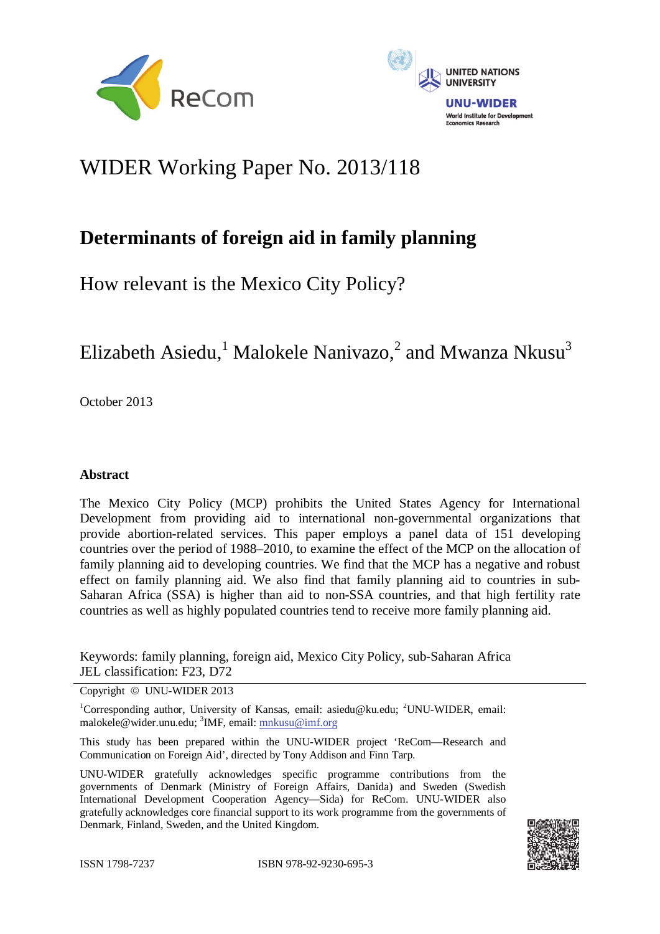



# WIDER Working Paper No. 2013/118

## **Determinants of foreign aid in family planning**

How relevant is the Mexico City Policy?

Elizabeth Asiedu,<sup>1</sup> Malokele Nanivazo,<sup>2</sup> and Mwanza Nkusu<sup>3</sup>

October 2013

## **Abstract**

The Mexico City Policy (MCP) prohibits the United States Agency for International Development from providing aid to international non-governmental organizations that provide abortion-related services. This paper employs a panel data of 151 developing countries over the period of 1988–2010, to examine the effect of the MCP on the allocation of family planning aid to developing countries. We find that the MCP has a negative and robust effect on family planning aid. We also find that family planning aid to countries in sub-Saharan Africa (SSA) is higher than aid to non-SSA countries, and that high fertility rate countries as well as highly populated countries tend to receive more family planning aid.

Keywords: family planning, foreign aid, Mexico City Policy, sub-Saharan Africa JEL classification: F23, D72

Copyright  $\odot$  UNU-WIDER 2013

<sup>1</sup>Corresponding author, University of Kansas, email: asiedu@ku.edu; <sup>2</sup>UNU-WIDER, email: malokele@wider.unu.edu; <sup>3</sup>IMF, email: mnkusu@imf.org

This study has been prepared within the UNU-WIDER project 'ReCom—Research and Communication on Foreign Aid', directed by Tony Addison and Finn Tarp.

UNU-WIDER gratefully acknowledges specific programme contributions from the governments of Denmark (Ministry of Foreign Affairs, Danida) and Sweden (Swedish International Development Cooperation Agency—Sida) for ReCom. UNU-WIDER also gratefully acknowledges core financial support to its work programme from the governments of Denmark, Finland, Sweden, and the United Kingdom.

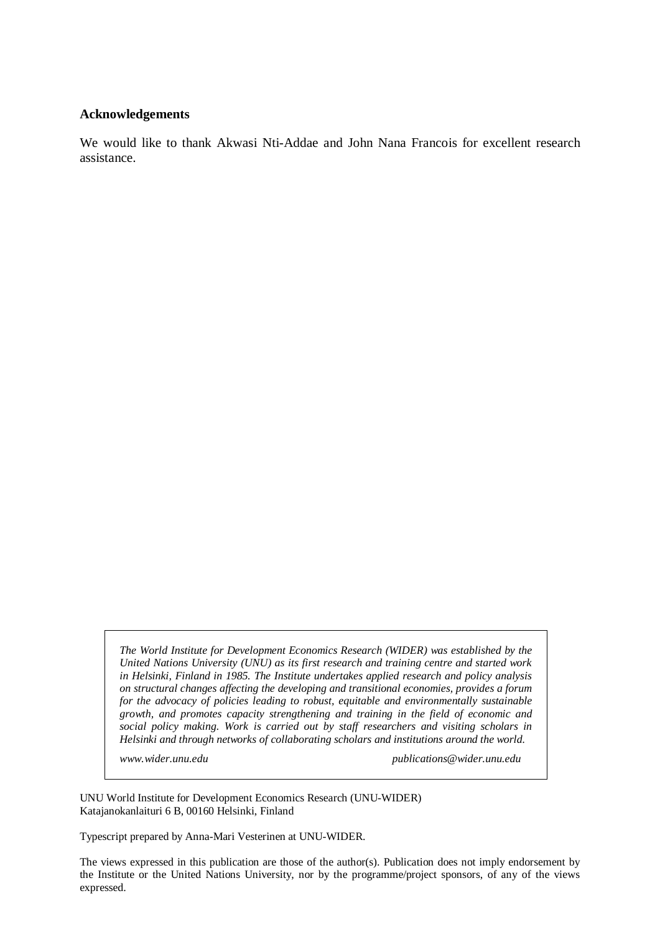#### **Acknowledgements**

We would like to thank Akwasi Nti-Addae and John Nana Francois for excellent research assistance.

*The World Institute for Development Economics Research (WIDER) was established by the United Nations University (UNU) as its first research and training centre and started work in Helsinki, Finland in 1985. The Institute undertakes applied research and policy analysis on structural changes affecting the developing and transitional economies, provides a forum for the advocacy of policies leading to robust, equitable and environmentally sustainable growth, and promotes capacity strengthening and training in the field of economic and social policy making. Work is carried out by staff researchers and visiting scholars in Helsinki and through networks of collaborating scholars and institutions around the world.* 

*www.wider.unu.edu publications@wider.unu.edu* 

UNU World Institute for Development Economics Research (UNU-WIDER) Katajanokanlaituri 6 B, 00160 Helsinki, Finland

Typescript prepared by Anna-Mari Vesterinen at UNU-WIDER.

The views expressed in this publication are those of the author(s). Publication does not imply endorsement by the Institute or the United Nations University, nor by the programme/project sponsors, of any of the views expressed.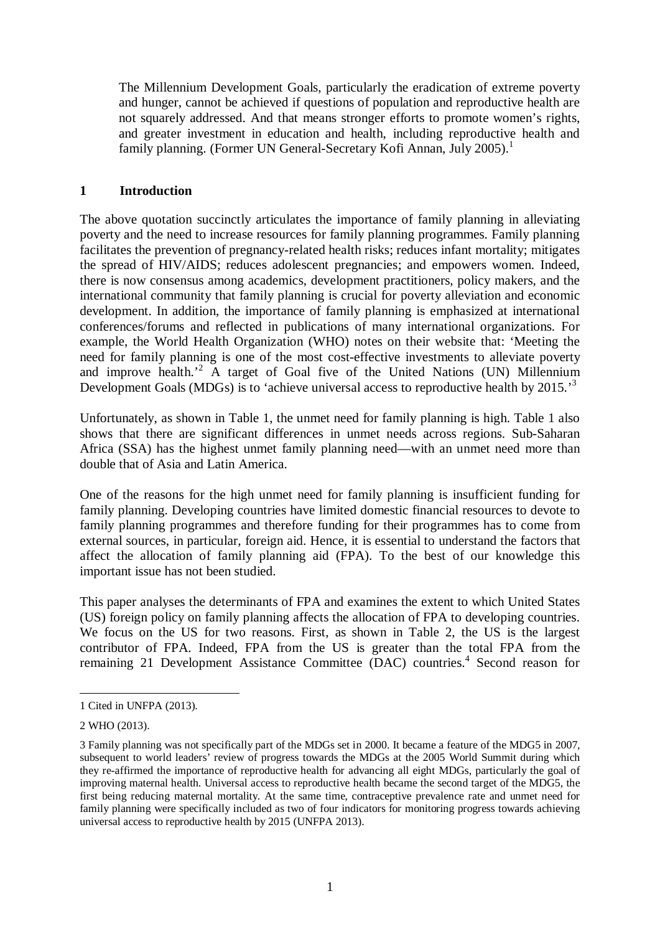The Millennium Development Goals, particularly the eradication of extreme poverty and hunger, cannot be achieved if questions of population and reproductive health are not squarely addressed. And that means stronger efforts to promote women's rights, and greater investment in education and health, including reproductive health and family planning. (Former UN General-Secretary Kofi Annan, July 2005).<sup>1</sup>

## **1 Introduction**

The above quotation succinctly articulates the importance of family planning in alleviating poverty and the need to increase resources for family planning programmes. Family planning facilitates the prevention of pregnancy-related health risks; reduces infant mortality; mitigates the spread of HIV/AIDS; reduces adolescent pregnancies; and empowers women. Indeed, there is now consensus among academics, development practitioners, policy makers, and the international community that family planning is crucial for poverty alleviation and economic development. In addition, the importance of family planning is emphasized at international conferences/forums and reflected in publications of many international organizations. For example, the World Health Organization (WHO) notes on their website that: 'Meeting the need for family planning is one of the most cost-effective investments to alleviate poverty and improve health.<sup>2</sup> A target of Goal five of the United Nations (UN) Millennium Development Goals (MDGs) is to 'achieve universal access to reproductive health by 2015.<sup>3</sup>

Unfortunately, as shown in Table 1, the unmet need for family planning is high. Table 1 also shows that there are significant differences in unmet needs across regions. Sub-Saharan Africa (SSA) has the highest unmet family planning need—with an unmet need more than double that of Asia and Latin America.

One of the reasons for the high unmet need for family planning is insufficient funding for family planning. Developing countries have limited domestic financial resources to devote to family planning programmes and therefore funding for their programmes has to come from external sources, in particular, foreign aid. Hence, it is essential to understand the factors that affect the allocation of family planning aid (FPA). To the best of our knowledge this important issue has not been studied.

This paper analyses the determinants of FPA and examines the extent to which United States (US) foreign policy on family planning affects the allocation of FPA to developing countries. We focus on the US for two reasons. First, as shown in Table 2, the US is the largest contributor of FPA. Indeed, FPA from the US is greater than the total FPA from the remaining 21 Development Assistance Committee (DAC) countries.<sup>4</sup> Second reason for

<sup>1</sup> 1 Cited in UNFPA (2013).

<sup>2</sup> WHO (2013).

<sup>3</sup> Family planning was not specifically part of the MDGs set in 2000. It became a feature of the MDG5 in 2007, subsequent to world leaders' review of progress towards the MDGs at the 2005 World Summit during which they re-affirmed the importance of reproductive health for advancing all eight MDGs, particularly the goal of improving maternal health. Universal access to reproductive health became the second target of the MDG5, the first being reducing maternal mortality. At the same time, contraceptive prevalence rate and unmet need for family planning were specifically included as two of four indicators for monitoring progress towards achieving universal access to reproductive health by 2015 (UNFPA 2013).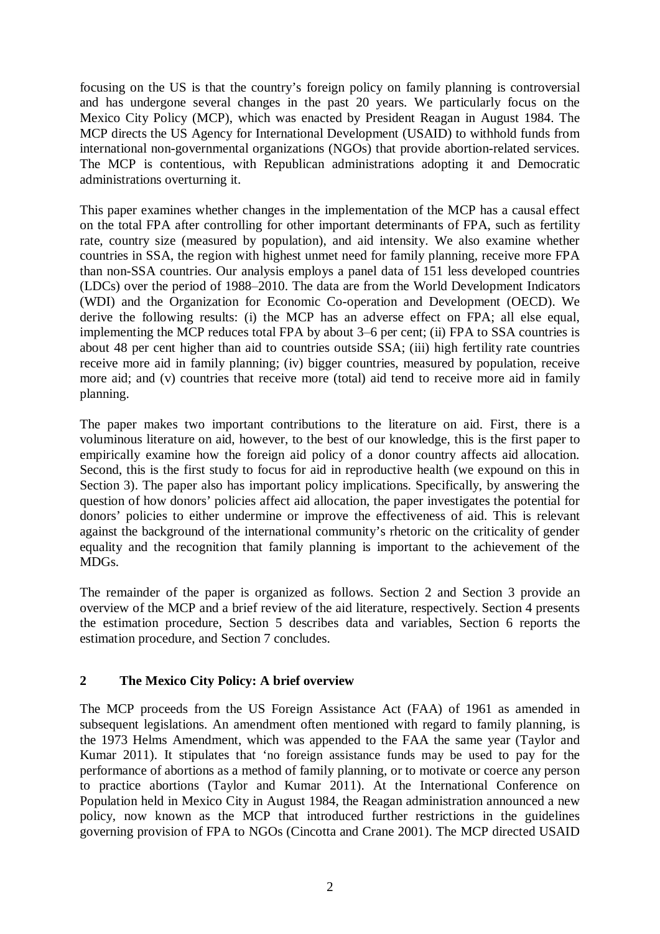focusing on the US is that the country's foreign policy on family planning is controversial and has undergone several changes in the past 20 years. We particularly focus on the Mexico City Policy (MCP), which was enacted by President Reagan in August 1984. The MCP directs the US Agency for International Development (USAID) to withhold funds from international non-governmental organizations (NGOs) that provide abortion-related services. The MCP is contentious, with Republican administrations adopting it and Democratic administrations overturning it.

This paper examines whether changes in the implementation of the MCP has a causal effect on the total FPA after controlling for other important determinants of FPA, such as fertility rate, country size (measured by population), and aid intensity. We also examine whether countries in SSA, the region with highest unmet need for family planning, receive more FPA than non-SSA countries. Our analysis employs a panel data of 151 less developed countries (LDCs) over the period of 1988‒2010. The data are from the World Development Indicators (WDI) and the Organization for Economic Co-operation and Development (OECD). We derive the following results: (i) the MCP has an adverse effect on FPA; all else equal, implementing the MCP reduces total FPA by about 3–6 per cent; (ii) FPA to SSA countries is about 48 per cent higher than aid to countries outside SSA; (iii) high fertility rate countries receive more aid in family planning; (iv) bigger countries, measured by population, receive more aid; and (v) countries that receive more (total) aid tend to receive more aid in family planning.

The paper makes two important contributions to the literature on aid. First, there is a voluminous literature on aid, however, to the best of our knowledge, this is the first paper to empirically examine how the foreign aid policy of a donor country affects aid allocation. Second, this is the first study to focus for aid in reproductive health (we expound on this in Section 3). The paper also has important policy implications. Specifically, by answering the question of how donors' policies affect aid allocation, the paper investigates the potential for donors' policies to either undermine or improve the effectiveness of aid. This is relevant against the background of the international community's rhetoric on the criticality of gender equality and the recognition that family planning is important to the achievement of the MDGs.

The remainder of the paper is organized as follows. Section 2 and Section 3 provide an overview of the MCP and a brief review of the aid literature, respectively. Section 4 presents the estimation procedure, Section 5 describes data and variables, Section 6 reports the estimation procedure, and Section 7 concludes.

## **2 The Mexico City Policy: A brief overview**

The MCP proceeds from the US Foreign Assistance Act (FAA) of 1961 as amended in subsequent legislations. An amendment often mentioned with regard to family planning, is the 1973 Helms Amendment, which was appended to the FAA the same year (Taylor and Kumar 2011). It stipulates that 'no foreign assistance funds may be used to pay for the performance of abortions as a method of family planning, or to motivate or coerce any person to practice abortions (Taylor and Kumar 2011). At the International Conference on Population held in Mexico City in August 1984, the Reagan administration announced a new policy, now known as the MCP that introduced further restrictions in the guidelines governing provision of FPA to NGOs (Cincotta and Crane 2001). The MCP directed USAID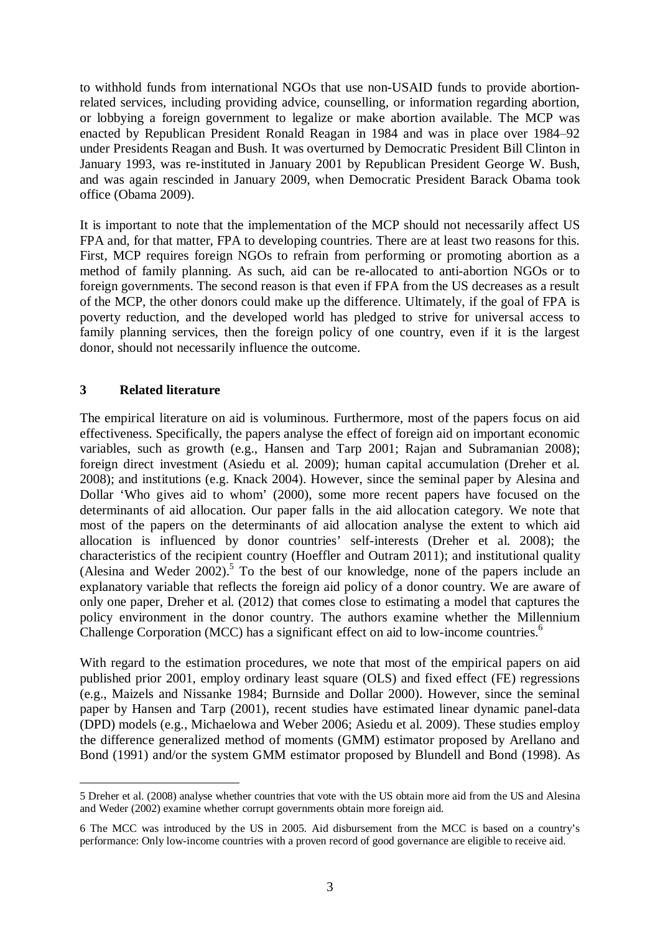to withhold funds from international NGOs that use non-USAID funds to provide abortionrelated services, including providing advice, counselling, or information regarding abortion, or lobbying a foreign government to legalize or make abortion available. The MCP was enacted by Republican President Ronald Reagan in 1984 and was in place over 1984–92 under Presidents Reagan and Bush. It was overturned by Democratic President Bill Clinton in January 1993, was re-instituted in January 2001 by Republican President George W. Bush, and was again rescinded in January 2009, when Democratic President Barack Obama took office (Obama 2009).

It is important to note that the implementation of the MCP should not necessarily affect US FPA and, for that matter, FPA to developing countries. There are at least two reasons for this. First, MCP requires foreign NGOs to refrain from performing or promoting abortion as a method of family planning. As such, aid can be re-allocated to anti-abortion NGOs or to foreign governments. The second reason is that even if FPA from the US decreases as a result of the MCP, the other donors could make up the difference. Ultimately, if the goal of FPA is poverty reduction, and the developed world has pledged to strive for universal access to family planning services, then the foreign policy of one country, even if it is the largest donor, should not necessarily influence the outcome.

## **3 Related literature**

<u>.</u>

The empirical literature on aid is voluminous. Furthermore, most of the papers focus on aid effectiveness. Specifically, the papers analyse the effect of foreign aid on important economic variables, such as growth (e.g., Hansen and Tarp 2001; Rajan and Subramanian 2008); foreign direct investment (Asiedu et al. 2009); human capital accumulation (Dreher et al. 2008); and institutions (e.g. Knack 2004). However, since the seminal paper by Alesina and Dollar 'Who gives aid to whom' (2000), some more recent papers have focused on the determinants of aid allocation. Our paper falls in the aid allocation category. We note that most of the papers on the determinants of aid allocation analyse the extent to which aid allocation is influenced by donor countries' self-interests (Dreher et al. 2008); the characteristics of the recipient country (Hoeffler and Outram 2011); and institutional quality (Alesina and Weder  $2002$ ).<sup>5</sup> To the best of our knowledge, none of the papers include an explanatory variable that reflects the foreign aid policy of a donor country. We are aware of only one paper, Dreher et al. (2012) that comes close to estimating a model that captures the policy environment in the donor country. The authors examine whether the Millennium Challenge Corporation (MCC) has a significant effect on aid to low-income countries.<sup>6</sup>

With regard to the estimation procedures, we note that most of the empirical papers on aid published prior 2001, employ ordinary least square (OLS) and fixed effect (FE) regressions (e.g., Maizels and Nissanke 1984; Burnside and Dollar 2000). However, since the seminal paper by Hansen and Tarp (2001), recent studies have estimated linear dynamic panel-data (DPD) models (e.g., Michaelowa and Weber 2006; Asiedu et al. 2009). These studies employ the difference generalized method of moments (GMM) estimator proposed by Arellano and Bond (1991) and/or the system GMM estimator proposed by Blundell and Bond (1998). As

<sup>5</sup> Dreher et al. (2008) analyse whether countries that vote with the US obtain more aid from the US and Alesina and Weder (2002) examine whether corrupt governments obtain more foreign aid.

<sup>6</sup> The MCC was introduced by the US in 2005. Aid disbursement from the MCC is based on a country's performance: Only low-income countries with a proven record of good governance are eligible to receive aid.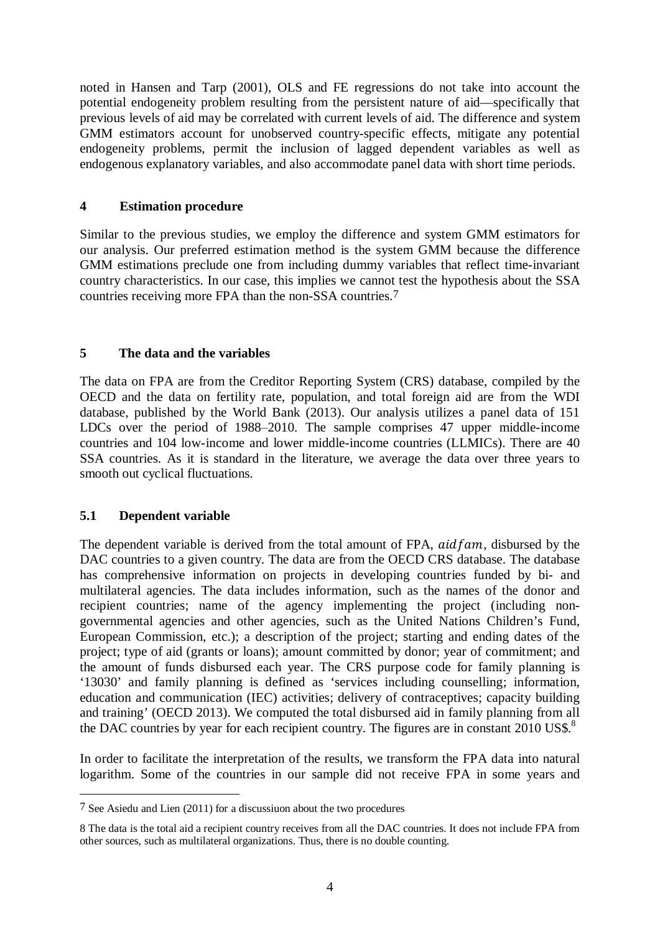noted in Hansen and Tarp (2001), OLS and FE regressions do not take into account the potential endogeneity problem resulting from the persistent nature of aid—specifically that previous levels of aid may be correlated with current levels of aid. The difference and system GMM estimators account for unobserved country-specific effects, mitigate any potential endogeneity problems, permit the inclusion of lagged dependent variables as well as endogenous explanatory variables, and also accommodate panel data with short time periods.

## **4 Estimation procedure**

Similar to the previous studies, we employ the difference and system GMM estimators for our analysis. Our preferred estimation method is the system GMM because the difference GMM estimations preclude one from including dummy variables that reflect time-invariant country characteristics. In our case, this implies we cannot test the hypothesis about the SSA countries receiving more FPA than the non-SSA countries.7

## **5 The data and the variables**

The data on FPA are from the Creditor Reporting System (CRS) database, compiled by the OECD and the data on fertility rate, population, and total foreign aid are from the WDI database, published by the World Bank (2013). Our analysis utilizes a panel data of 151 LDCs over the period of 1988–2010. The sample comprises 47 upper middle-income countries and 104 low-income and lower middle-income countries (LLMICs). There are 40 SSA countries. As it is standard in the literature, we average the data over three years to smooth out cyclical fluctuations.

## **5.1 Dependent variable**

1

The dependent variable is derived from the total amount of FPA,  $aidfam$ , disbursed by the DAC countries to a given country. The data are from the OECD CRS database. The database has comprehensive information on projects in developing countries funded by bi- and multilateral agencies. The data includes information, such as the names of the donor and recipient countries; name of the agency implementing the project (including nongovernmental agencies and other agencies, such as the United Nations Children's Fund, European Commission, etc.); a description of the project; starting and ending dates of the project; type of aid (grants or loans); amount committed by donor; year of commitment; and the amount of funds disbursed each year. The CRS purpose code for family planning is '13030' and family planning is defined as 'services including counselling; information, education and communication (IEC) activities; delivery of contraceptives; capacity building and training' (OECD 2013). We computed the total disbursed aid in family planning from all the DAC countries by year for each recipient country. The figures are in constant  $2010$  US\$.<sup>8</sup>

In order to facilitate the interpretation of the results, we transform the FPA data into natural logarithm. Some of the countries in our sample did not receive FPA in some years and

<sup>7</sup> See Asiedu and Lien (2011) for a discussiuon about the two procedures

<sup>8</sup> The data is the total aid a recipient country receives from all the DAC countries. It does not include FPA from other sources, such as multilateral organizations. Thus, there is no double counting.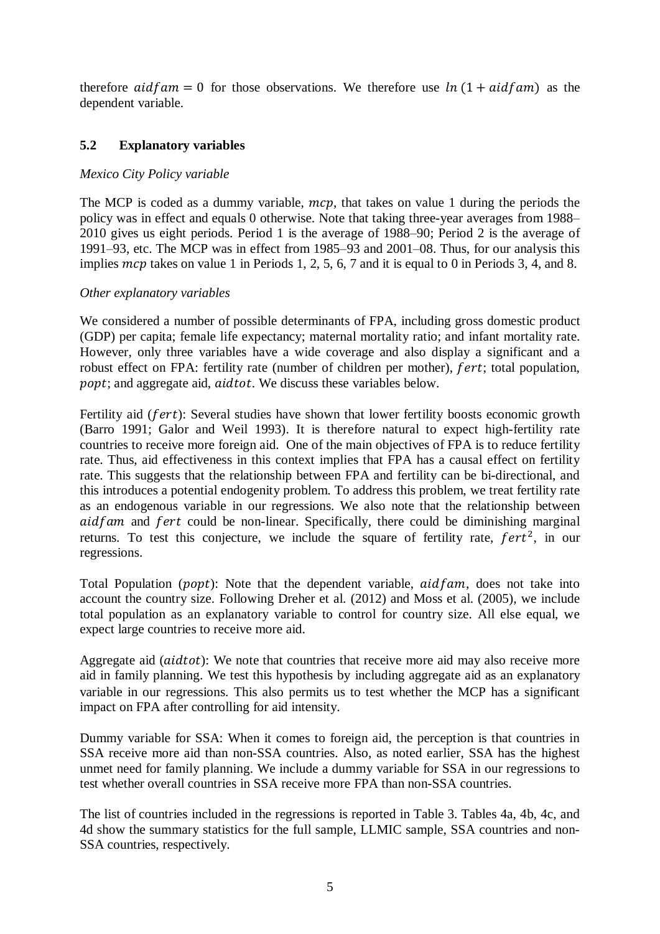therefore  $aidfam = 0$  for those observations. We therefore use  $ln(1 + aidfam)$  as the dependent variable.

## **5.2 Explanatory variables**

#### *Mexico City Policy variable*

The MCP is coded as a dummy variable,  $mcp$ , that takes on value 1 during the periods the policy was in effect and equals 0 otherwise. Note that taking three-year averages from 1988– 2010 gives us eight periods. Period 1 is the average of 1988–90; Period 2 is the average of 1991–93, etc. The MCP was in effect from 1985–93 and 2001–08. Thus, for our analysis this implies  $mcp$  takes on value 1 in Periods 1, 2, 5, 6, 7 and it is equal to 0 in Periods 3, 4, and 8.

#### *Other explanatory variables*

We considered a number of possible determinants of FPA, including gross domestic product (GDP) per capita; female life expectancy; maternal mortality ratio; and infant mortality rate. However, only three variables have a wide coverage and also display a significant and a robust effect on FPA: fertility rate (number of children per mother), *fert*; total population, popt; and aggregate aid,  $aidtot$ . We discuss these variables below.

Fertility aid ( $fert$ ): Several studies have shown that lower fertility boosts economic growth (Barro 1991; Galor and Weil 1993). It is therefore natural to expect high-fertility rate countries to receive more foreign aid. One of the main objectives of FPA is to reduce fertility rate. Thus, aid effectiveness in this context implies that FPA has a causal effect on fertility rate. This suggests that the relationship between FPA and fertility can be bi-directional, and this introduces a potential endogenity problem. To address this problem, we treat fertility rate as an endogenous variable in our regressions. We also note that the relationship between aid fam and fert could be non-linear. Specifically, there could be diminishing marginal returns. To test this conjecture, we include the square of fertility rate,  $fert^2$ , in our regressions.

Total Population ( $popt$ ): Note that the dependent variable,  $aidfam$ , does not take into account the country size. Following Dreher et al. (2012) and Moss et al. (2005), we include total population as an explanatory variable to control for country size. All else equal, we expect large countries to receive more aid.

Aggregate aid (*aidtot*): We note that countries that receive more aid may also receive more aid in family planning. We test this hypothesis by including aggregate aid as an explanatory variable in our regressions. This also permits us to test whether the MCP has a significant impact on FPA after controlling for aid intensity.

Dummy variable for SSA: When it comes to foreign aid, the perception is that countries in SSA receive more aid than non-SSA countries. Also, as noted earlier, SSA has the highest unmet need for family planning. We include a dummy variable for SSA in our regressions to test whether overall countries in SSA receive more FPA than non-SSA countries.

The list of countries included in the regressions is reported in Table 3. Tables 4a, 4b, 4c, and 4d show the summary statistics for the full sample, LLMIC sample, SSA countries and non-SSA countries, respectively.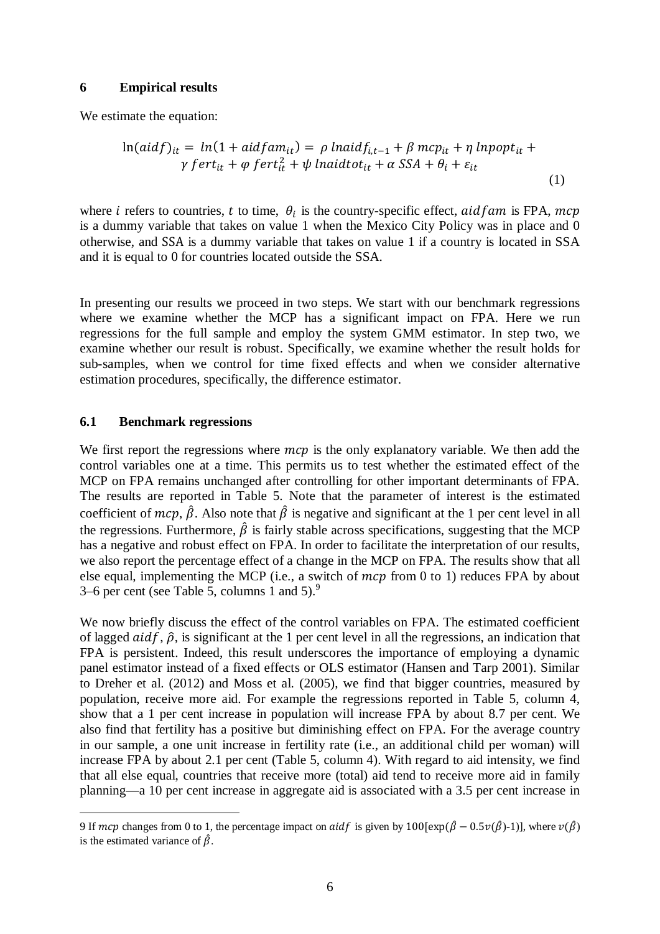#### **6 Empirical results**

We estimate the equation:

$$
\ln(\text{aid}f)_{it} = \ln(1 + \text{aid}f \text{am}_{it}) = \rho \ln(\text{aid}f_{i,t-1} + \beta \text{ mcp}_{it} + \eta \ln(\text{input}_{it} + \gamma \text{ f}^{(i)}\text{ r} + \phi \text{ f}^{(i)}\text{ r} + \psi \ln(\text{width}_{it} + \alpha \text{ SSA} + \theta_{i} + \varepsilon_{it})
$$
\n
$$
\text{(1)}
$$

where *i* refers to countries, *t* to time,  $\theta_i$  is the country-specific effect, aidf am is FPA, mcp is a dummy variable that takes on value 1 when the Mexico City Policy was in place and 0 otherwise, and SSA is a dummy variable that takes on value 1 if a country is located in SSA and it is equal to 0 for countries located outside the SSA.

In presenting our results we proceed in two steps. We start with our benchmark regressions where we examine whether the MCP has a significant impact on FPA. Here we run regressions for the full sample and employ the system GMM estimator. In step two, we examine whether our result is robust. Specifically, we examine whether the result holds for sub-samples, when we control for time fixed effects and when we consider alternative estimation procedures, specifically, the difference estimator.

#### **6.1 Benchmark regressions**

1

We first report the regressions where  $mcp$  is the only explanatory variable. We then add the control variables one at a time. This permits us to test whether the estimated effect of the MCP on FPA remains unchanged after controlling for other important determinants of FPA. The results are reported in Table 5. Note that the parameter of interest is the estimated coefficient of  $mcp$ ,  $\hat{\beta}$ . Also note that  $\hat{\beta}$  is negative and significant at the 1 per cent level in all the regressions. Furthermore,  $\hat{\beta}$  is fairly stable across specifications, suggesting that the MCP has a negative and robust effect on FPA. In order to facilitate the interpretation of our results, we also report the percentage effect of a change in the MCP on FPA. The results show that all else equal, implementing the MCP (i.e., a switch of  $mcp$  from 0 to 1) reduces FPA by about 3–6 per cent (see Table 5, columns 1 and 5). $9$ 

We now briefly discuss the effect of the control variables on FPA. The estimated coefficient of lagged  $aidf$ ,  $\hat{\rho}$ , is significant at the 1 per cent level in all the regressions, an indication that FPA is persistent. Indeed, this result underscores the importance of employing a dynamic panel estimator instead of a fixed effects or OLS estimator (Hansen and Tarp 2001). Similar to Dreher et al. (2012) and Moss et al. (2005), we find that bigger countries, measured by population, receive more aid. For example the regressions reported in Table 5, column 4, show that a 1 per cent increase in population will increase FPA by about 8.7 per cent. We also find that fertility has a positive but diminishing effect on FPA. For the average country in our sample, a one unit increase in fertility rate (i.e., an additional child per woman) will increase FPA by about 2.1 per cent (Table 5, column 4). With regard to aid intensity, we find that all else equal, countries that receive more (total) aid tend to receive more aid in family planning—a 10 per cent increase in aggregate aid is associated with a 3.5 per cent increase in

<sup>9</sup> If mcp changes from 0 to 1, the percentage impact on aidf is given by  $100[\exp(\hat{\beta} - 0.5\nu(\hat{\beta})-1)]$ , where  $\nu(\hat{\beta})$ is the estimated variance of  $\hat{\beta}$ .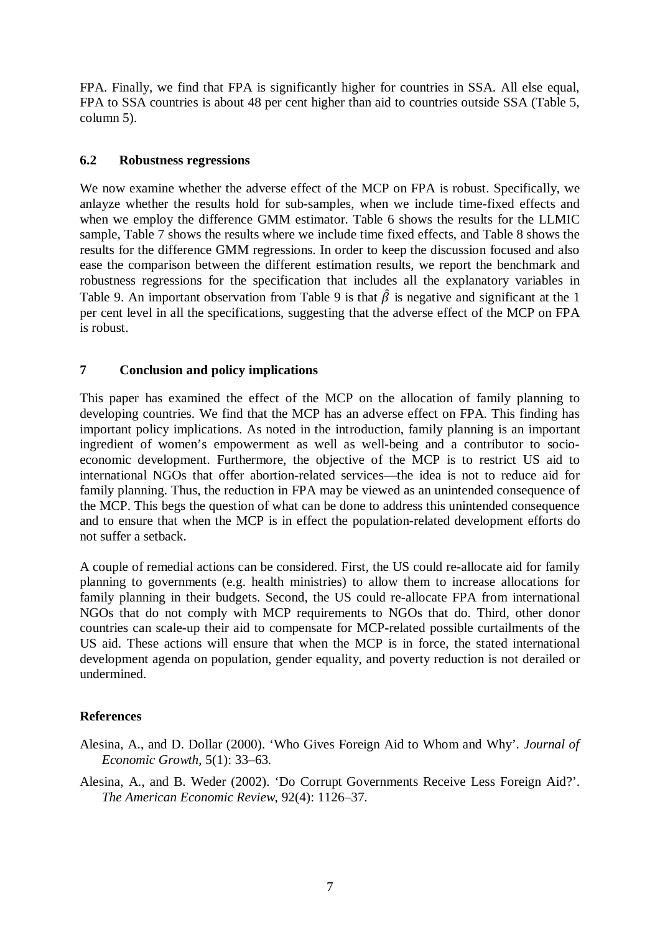FPA. Finally, we find that FPA is significantly higher for countries in SSA. All else equal, FPA to SSA countries is about 48 per cent higher than aid to countries outside SSA (Table 5, column 5).

## **6.2 Robustness regressions**

We now examine whether the adverse effect of the MCP on FPA is robust. Specifically, we anlayze whether the results hold for sub-samples, when we include time-fixed effects and when we employ the difference GMM estimator. Table 6 shows the results for the LLMIC sample, Table 7 shows the results where we include time fixed effects, and Table 8 shows the results for the difference GMM regressions. In order to keep the discussion focused and also ease the comparison between the different estimation results, we report the benchmark and robustness regressions for the specification that includes all the explanatory variables in Table 9. An important observation from Table 9 is that  $\hat{\beta}$  is negative and significant at the 1 per cent level in all the specifications, suggesting that the adverse effect of the MCP on FPA is robust.

## **7 Conclusion and policy implications**

This paper has examined the effect of the MCP on the allocation of family planning to developing countries. We find that the MCP has an adverse effect on FPA. This finding has important policy implications. As noted in the introduction, family planning is an important ingredient of women's empowerment as well as well-being and a contributor to socioeconomic development. Furthermore, the objective of the MCP is to restrict US aid to international NGOs that offer abortion-related services—the idea is not to reduce aid for family planning. Thus, the reduction in FPA may be viewed as an unintended consequence of the MCP. This begs the question of what can be done to address this unintended consequence and to ensure that when the MCP is in effect the population-related development efforts do not suffer a setback.

A couple of remedial actions can be considered. First, the US could re-allocate aid for family planning to governments (e.g. health ministries) to allow them to increase allocations for family planning in their budgets. Second, the US could re-allocate FPA from international NGOs that do not comply with MCP requirements to NGOs that do. Third, other donor countries can scale-up their aid to compensate for MCP-related possible curtailments of the US aid. These actions will ensure that when the MCP is in force, the stated international development agenda on population, gender equality, and poverty reduction is not derailed or undermined.

## **References**

- Alesina, A., and D. Dollar (2000). 'Who Gives Foreign Aid to Whom and Why'. *Journal of Economic Growth*, 5(1): 33‒63.
- Alesina, A., and B. Weder (2002). 'Do Corrupt Governments Receive Less Foreign Aid?'. *The American Economic Review*, 92(4): 1126‒37.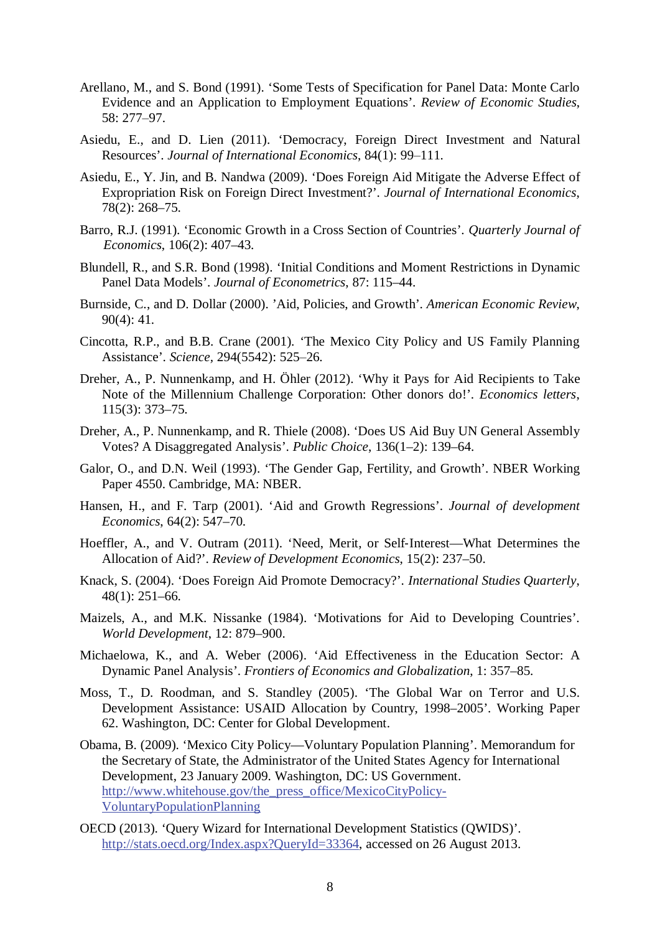- Arellano, M., and S. Bond (1991). 'Some Tests of Specification for Panel Data: Monte Carlo Evidence and an Application to Employment Equations'. *Review of Economic Studies*, 58: 277‒97.
- Asiedu, E., and D. Lien (2011). 'Democracy, Foreign Direct Investment and Natural Resources'. *Journal of International Economics*, 84(1): 99–111.
- Asiedu, E., Y. Jin, and B. Nandwa (2009). 'Does Foreign Aid Mitigate the Adverse Effect of Expropriation Risk on Foreign Direct Investment?'. *Journal of International Economics*, 78(2): 268–75.
- Barro, R.J. (1991). 'Economic Growth in a Cross Section of Countries'. *Quarterly Journal of Economics*, 106(2): 407–43.
- Blundell, R., and S.R. Bond (1998). 'Initial Conditions and Moment Restrictions in Dynamic Panel Data Models'. *Journal of Econometrics*, 87: 115–44.
- Burnside, C., and D. Dollar (2000). 'Aid, Policies, and Growth'. *American Economic Review*, 90(4): 41.
- Cincotta, R.P., and B.B. Crane (2001). 'The Mexico City Policy and US Family Planning Assistance'. *Science*, 294(5542): 525-26.
- Dreher, A., P. Nunnenkamp, and H. Öhler (2012). 'Why it Pays for Aid Recipients to Take Note of the Millennium Challenge Corporation: Other donors do!'. *Economics letters*, 115(3): 373–75.
- Dreher, A., P. Nunnenkamp, and R. Thiele (2008). 'Does US Aid Buy UN General Assembly Votes? A Disaggregated Analysis'. *Public Choice*, 136(1–2): 139–64.
- Galor, O., and D.N. Weil (1993). 'The Gender Gap, Fertility, and Growth'. NBER Working Paper 4550. Cambridge, MA: NBER.
- Hansen, H., and F. Tarp (2001). 'Aid and Growth Regressions'. *Journal of development Economics*, 64(2): 547–70.
- Hoeffler, A., and V. Outram (2011). 'Need, Merit, or Self-Interest—What Determines the Allocation of Aid?'. *Review of Development Economics*, 15(2): 237–50.
- Knack, S. (2004). 'Does Foreign Aid Promote Democracy?'. *International Studies Quarterly*, 48(1): 251–66.
- Maizels, A., and M.K. Nissanke (1984). 'Motivations for Aid to Developing Countries'. *World Development*, 12: 879–900.
- Michaelowa, K., and A. Weber (2006). 'Aid Effectiveness in the Education Sector: A Dynamic Panel Analysis'. *Frontiers of Economics and Globalization*, 1: 357–85.
- Moss, T., D. Roodman, and S. Standley (2005). 'The Global War on Terror and U.S. Development Assistance: USAID Allocation by Country, 1998–2005'. Working Paper 62. Washington, DC: Center for Global Development.
- Obama, B. (2009). 'Mexico City Policy—Voluntary Population Planning'. Memorandum for the Secretary of State, the Administrator of the United States Agency for International Development, 23 January 2009. Washington, DC: US Government. http://www.whitehouse.gov/the\_press\_office/MexicoCityPolicy-VoluntaryPopulationPlanning
- OECD (2013). 'Query Wizard for International Development Statistics (QWIDS)'. http://stats.oecd.org/Index.aspx?OueryId=33364, accessed on 26 August 2013.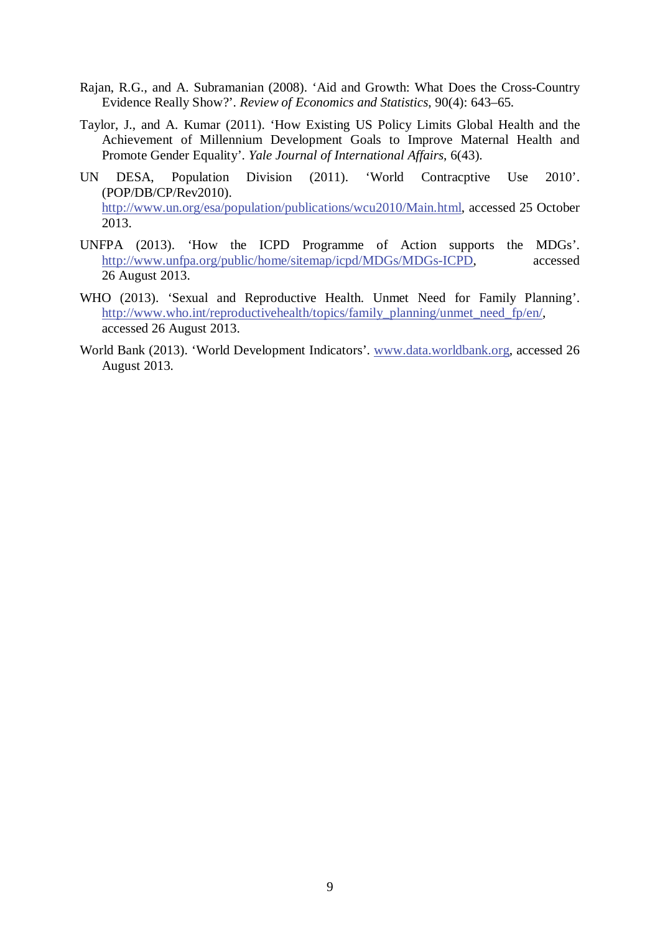- Rajan, R.G., and A. Subramanian (2008). 'Aid and Growth: What Does the Cross-Country Evidence Really Show?'. *Review of Economics and Statistics*, 90(4): 643–65.
- Taylor, J., and A. Kumar (2011). 'How Existing US Policy Limits Global Health and the Achievement of Millennium Development Goals to Improve Maternal Health and Promote Gender Equality'. *Yale Journal of International Affairs*, 6(43).
- UN DESA, Population Division (2011). 'World Contracptive Use 2010'. (POP/DB/CP/Rev2010). http://www.un.org/esa/population/publications/wcu2010/Main.html, accessed 25 October 2013.
- UNFPA (2013). 'How the ICPD Programme of Action supports the MDGs'. http://www.unfpa.org/public/home/sitemap/icpd/MDGs/MDGs-ICPD, accessed 26 August 2013.
- WHO (2013). 'Sexual and Reproductive Health. Unmet Need for Family Planning'. http://www.who.int/reproductivehealth/topics/family\_planning/unmet\_need\_fp/en/, accessed 26 August 2013.
- World Bank (2013). 'World Development Indicators'. www.data.worldbank.org, accessed 26 August 2013.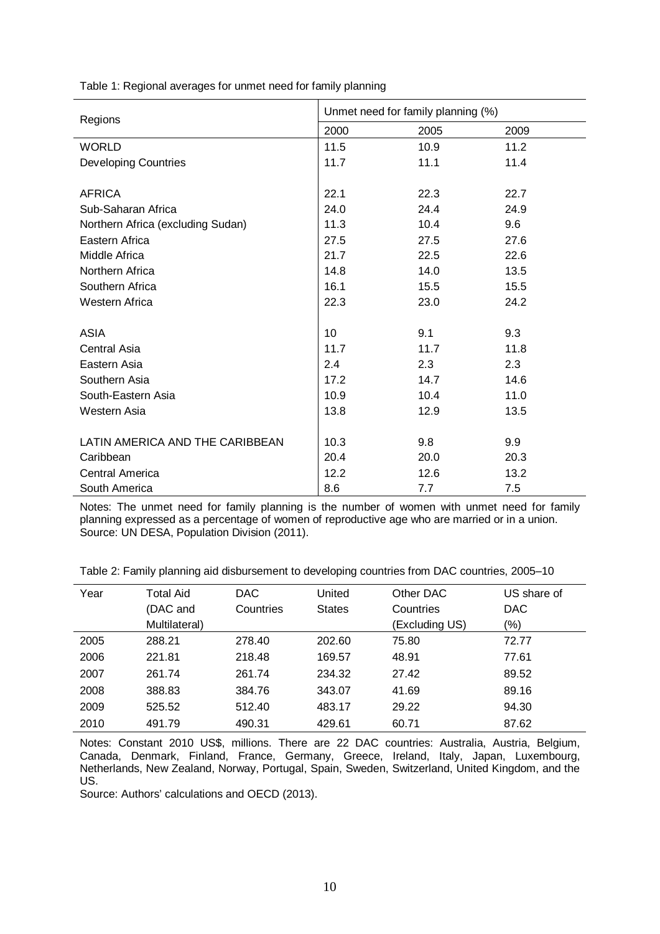| Table 1: Regional averages for unmet need for family planning |  |
|---------------------------------------------------------------|--|
|---------------------------------------------------------------|--|

| Regions                           | Unmet need for family planning (%) |      |      |  |
|-----------------------------------|------------------------------------|------|------|--|
|                                   | 2000                               | 2005 | 2009 |  |
| <b>WORLD</b>                      | 11.5                               | 10.9 | 11.2 |  |
| <b>Developing Countries</b>       | 11.7                               | 11.1 | 11.4 |  |
|                                   |                                    |      |      |  |
| <b>AFRICA</b>                     | 22.1                               | 22.3 | 22.7 |  |
| Sub-Saharan Africa                | 24.0                               | 24.4 | 24.9 |  |
| Northern Africa (excluding Sudan) | 11.3                               | 10.4 | 9.6  |  |
| Eastern Africa                    | 27.5                               | 27.5 | 27.6 |  |
| Middle Africa                     | 21.7                               | 22.5 | 22.6 |  |
| Northern Africa                   | 14.8                               | 14.0 | 13.5 |  |
| Southern Africa                   | 16.1                               | 15.5 | 15.5 |  |
| Western Africa                    | 22.3                               | 23.0 | 24.2 |  |
|                                   |                                    |      |      |  |
| <b>ASIA</b>                       | 10                                 | 9.1  | 9.3  |  |
| Central Asia                      | 11.7                               | 11.7 | 11.8 |  |
| Eastern Asia                      | 2.4                                | 2.3  | 2.3  |  |
| Southern Asia                     | 17.2                               | 14.7 | 14.6 |  |
| South-Eastern Asia                | 10.9                               | 10.4 | 11.0 |  |
| Western Asia                      | 13.8                               | 12.9 | 13.5 |  |
|                                   |                                    |      |      |  |
| LATIN AMERICA AND THE CARIBBEAN   | 10.3                               | 9.8  | 9.9  |  |
| Caribbean                         | 20.4                               | 20.0 | 20.3 |  |
| Central America                   | 12.2                               | 12.6 | 13.2 |  |
| South America                     | 8.6                                | 7.7  | 7.5  |  |

Notes: The unmet need for family planning is the number of women with unmet need for family planning expressed as a percentage of women of reproductive age who are married or in a union. Source: UN DESA, Population Division (2011).

Table 2: Family planning aid disbursement to developing countries from DAC countries, 2005-10

| Year | <b>Total Aid</b> | <b>DAC</b> | United        | Other DAC      | US share of |
|------|------------------|------------|---------------|----------------|-------------|
|      | (DAC and         | Countries  | <b>States</b> | Countries      | <b>DAC</b>  |
|      | Multilateral)    |            |               | (Excluding US) | $(\%)$      |
| 2005 | 288.21           | 278.40     | 202.60        | 75.80          | 72.77       |
| 2006 | 221.81           | 218.48     | 169.57        | 48.91          | 77.61       |
| 2007 | 261.74           | 261.74     | 234.32        | 27.42          | 89.52       |
| 2008 | 388.83           | 384.76     | 343.07        | 41.69          | 89.16       |
| 2009 | 525.52           | 512.40     | 483.17        | 29.22          | 94.30       |
| 2010 | 491.79           | 490.31     | 429.61        | 60.71          | 87.62       |

Notes: Constant 2010 US\$, millions. There are 22 DAC countries: Australia, Austria, Belgium, Canada, Denmark, Finland, France, Germany, Greece, Ireland, Italy, Japan, Luxembourg, Netherlands, New Zealand, Norway, Portugal, Spain, Sweden, Switzerland, United Kingdom, and the US.

Source: Authors' calculations and OECD (2013).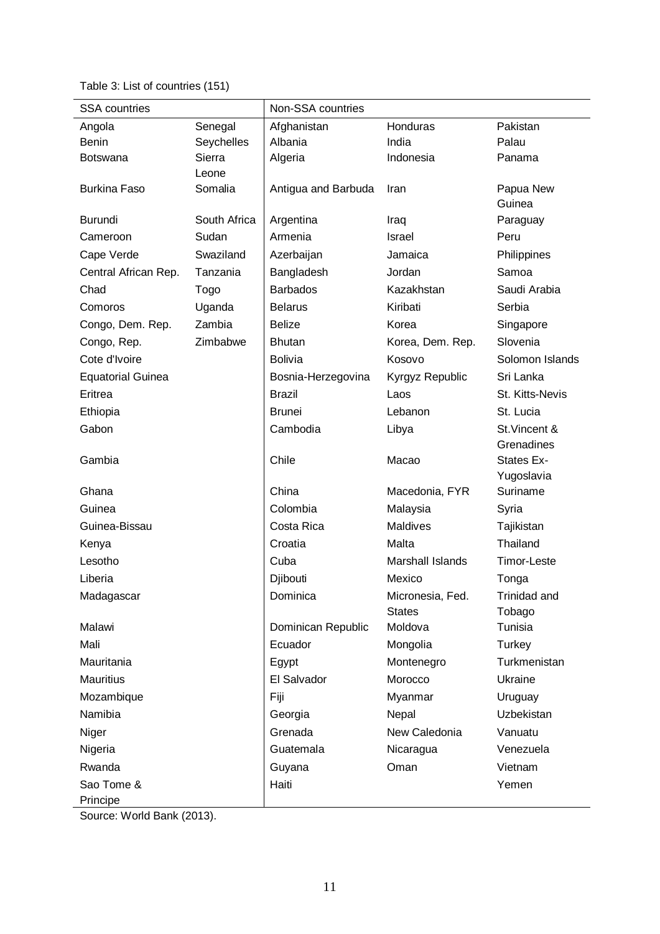Table 3: List of countries (151)

| <b>SSA</b> countries     |              | Non-SSA countries   |                  |                 |
|--------------------------|--------------|---------------------|------------------|-----------------|
| Angola                   | Senegal      | Afghanistan         | Honduras         | Pakistan        |
| <b>Benin</b>             | Seychelles   | Albania             | India            | Palau           |
| <b>Botswana</b>          | Sierra       | Algeria             | Indonesia        | Panama          |
|                          | Leone        |                     |                  |                 |
| <b>Burkina Faso</b>      | Somalia      | Antigua and Barbuda | Iran             | Papua New       |
|                          |              |                     |                  | Guinea          |
| <b>Burundi</b>           | South Africa | Argentina           | Iraq             | Paraguay        |
| Cameroon                 | Sudan        | Armenia             | Israel           | Peru            |
| Cape Verde               | Swaziland    | Azerbaijan          | Jamaica          | Philippines     |
| Central African Rep.     | Tanzania     | Bangladesh          | Jordan           | Samoa           |
| Chad                     | Togo         | <b>Barbados</b>     | Kazakhstan       | Saudi Arabia    |
| Comoros                  | Uganda       | <b>Belarus</b>      | Kiribati         | Serbia          |
| Congo, Dem. Rep.         | Zambia       | <b>Belize</b>       | Korea            | Singapore       |
| Congo, Rep.              | Zimbabwe     | <b>Bhutan</b>       | Korea, Dem. Rep. | Slovenia        |
| Cote d'Ivoire            |              | <b>Bolivia</b>      | Kosovo           | Solomon Islands |
| <b>Equatorial Guinea</b> |              | Bosnia-Herzegovina  | Kyrgyz Republic  | Sri Lanka       |
| Eritrea                  |              | <b>Brazil</b>       | Laos             | St. Kitts-Nevis |
| Ethiopia                 |              | <b>Brunei</b>       | Lebanon          | St. Lucia       |
| Gabon                    |              | Cambodia            | Libya            | St. Vincent &   |
|                          |              |                     |                  | Grenadines      |
| Gambia                   |              | Chile               | Macao            | States Ex-      |
|                          |              |                     |                  | Yugoslavia      |
| Ghana                    |              | China               | Macedonia, FYR   | Suriname        |
| Guinea                   |              | Colombia            | Malaysia         | Syria           |
| Guinea-Bissau            |              | Costa Rica          | Maldives         | Tajikistan      |
| Kenya                    |              | Croatia             | Malta            | Thailand        |
| Lesotho                  |              | Cuba                | Marshall Islands | Timor-Leste     |
| Liberia                  |              | Djibouti            | Mexico           | Tonga           |
| Madagascar               |              | Dominica            | Micronesia, Fed. | Trinidad and    |
|                          |              |                     | <b>States</b>    | Tobago          |
| Malawi                   |              | Dominican Republic  | Moldova          | Tunisia         |
| Mali                     |              | Ecuador             | Mongolia         | Turkey          |
| Mauritania               |              | Egypt               | Montenegro       | Turkmenistan    |
| <b>Mauritius</b>         |              | El Salvador         | Morocco          | Ukraine         |
| Mozambique               |              | Fiji                | Myanmar          | Uruguay         |
| Namibia                  |              | Georgia             | Nepal            | Uzbekistan      |
| Niger                    |              | Grenada             | New Caledonia    | Vanuatu         |
| Nigeria                  |              | Guatemala           | Nicaragua        | Venezuela       |
| Rwanda                   |              | Guyana              | Oman             | Vietnam         |
| Sao Tome &               |              | Haiti               |                  | Yemen           |
| Principe                 |              |                     |                  |                 |

Source: World Bank (2013).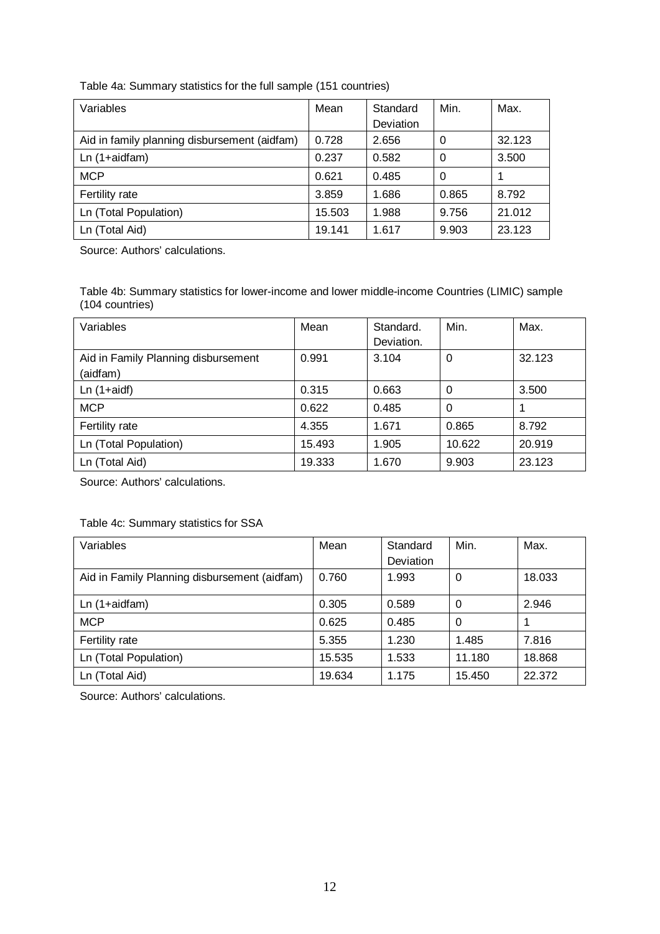| Variables                                    | Mean   | Standard  | Min.     | Max.   |
|----------------------------------------------|--------|-----------|----------|--------|
|                                              |        | Deviation |          |        |
| Aid in family planning disbursement (aidfam) | 0.728  | 2.656     | $\Omega$ | 32.123 |
| $Ln(1+aidfam)$                               | 0.237  | 0.582     | 0        | 3.500  |
| <b>MCP</b>                                   | 0.621  | 0.485     | 0        |        |
| Fertility rate                               | 3.859  | 1.686     | 0.865    | 8.792  |
| Ln (Total Population)                        | 15.503 | 1.988     | 9.756    | 21.012 |
| Ln (Total Aid)                               | 19.141 | 1.617     | 9.903    | 23.123 |

#### Table 4a: Summary statistics for the full sample (151 countries)

Source: Authors' calculations.

Table 4b: Summary statistics for lower-income and lower middle-income Countries (LIMIC) sample (104 countries)

| Variables                           | Mean   | Standard.  | Min.     | Max.   |
|-------------------------------------|--------|------------|----------|--------|
|                                     |        | Deviation. |          |        |
| Aid in Family Planning disbursement | 0.991  | 3.104      | $\Omega$ | 32.123 |
| (aidfam)                            |        |            |          |        |
| $Ln(1+aidf)$                        | 0.315  | 0.663      | 0        | 3.500  |
| <b>MCP</b>                          | 0.622  | 0.485      | $\Omega$ |        |
| Fertility rate                      | 4.355  | 1.671      | 0.865    | 8.792  |
| Ln (Total Population)               | 15.493 | 1.905      | 10.622   | 20.919 |
| Ln (Total Aid)                      | 19.333 | 1.670      | 9.903    | 23.123 |

Source: Authors' calculations.

#### Table 4c: Summary statistics for SSA

| Variables                                    | Mean   | Standard  | Min.     | Max.   |
|----------------------------------------------|--------|-----------|----------|--------|
|                                              |        | Deviation |          |        |
| Aid in Family Planning disbursement (aidfam) | 0.760  | 1.993     | 0        | 18.033 |
| $Ln(1+aidfam)$                               | 0.305  | 0.589     | 0        | 2.946  |
| <b>MCP</b>                                   | 0.625  | 0.485     | $\Omega$ |        |
| Fertility rate                               | 5.355  | 1.230     | 1.485    | 7.816  |
| Ln (Total Population)                        | 15.535 | 1.533     | 11.180   | 18.868 |
| Ln (Total Aid)                               | 19.634 | 1.175     | 15.450   | 22.372 |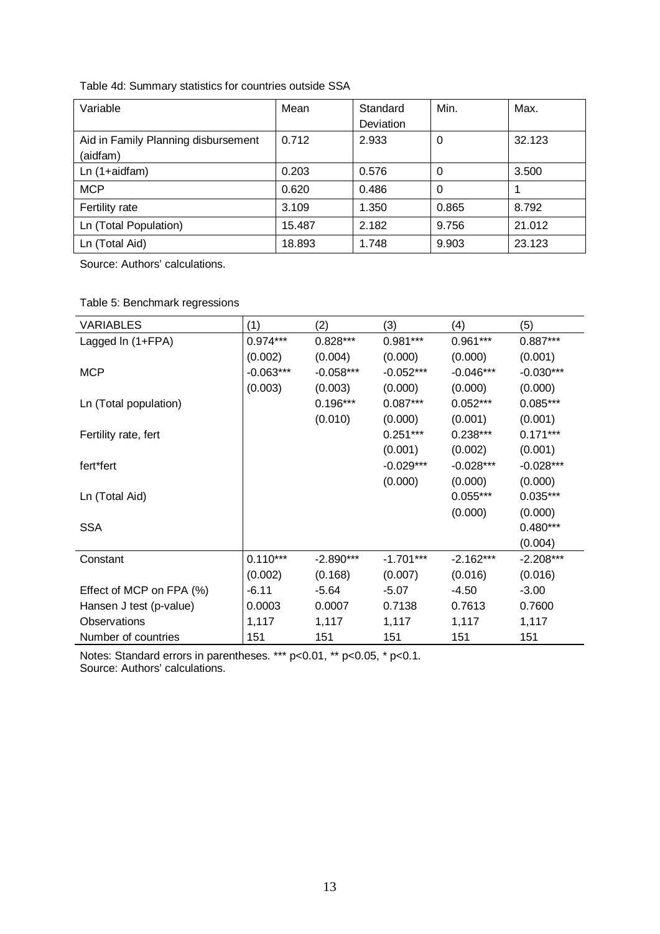| Table 4d: Summary statistics for countries outside SSA |  |
|--------------------------------------------------------|--|
|--------------------------------------------------------|--|

| Variable                                        | Mean   | Standard<br>Deviation | Min.     | Max.   |
|-------------------------------------------------|--------|-----------------------|----------|--------|
| Aid in Family Planning disbursement<br>(aidfam) | 0.712  | 2.933                 | 0        | 32.123 |
| Ln (1+aidfam)                                   | 0.203  | 0.576                 | $\Omega$ | 3.500  |
| <b>MCP</b>                                      | 0.620  | 0.486                 | $\Omega$ |        |
| Fertility rate                                  | 3.109  | 1.350                 | 0.865    | 8.792  |
| Ln (Total Population)                           | 15.487 | 2.182                 | 9.756    | 21.012 |
| Ln (Total Aid)                                  | 18.893 | 1.748                 | 9.903    | 23.123 |

Source: Authors' calculations.

|  |  | Table 5: Benchmark regressions |
|--|--|--------------------------------|
|--|--|--------------------------------|

| <b>VARIABLES</b>         | (1)         | (2)         | (3)         | (4)         | (5)         |
|--------------------------|-------------|-------------|-------------|-------------|-------------|
| Lagged In (1+FPA)        | $0.974***$  | $0.828***$  | $0.981***$  | $0.961***$  | $0.887***$  |
|                          | (0.002)     | (0.004)     | (0.000)     | (0.000)     | (0.001)     |
| <b>MCP</b>               | $-0.063***$ | $-0.058***$ | $-0.052***$ | $-0.046***$ | $-0.030***$ |
|                          | (0.003)     | (0.003)     | (0.000)     | (0.000)     | (0.000)     |
| Ln (Total population)    |             | $0.196***$  | $0.087***$  | $0.052***$  | $0.085***$  |
|                          |             | (0.010)     | (0.000)     | (0.001)     | (0.001)     |
| Fertility rate, fert     |             |             | $0.251***$  | $0.238***$  | $0.171***$  |
|                          |             |             | (0.001)     | (0.002)     | (0.001)     |
| fert*fert                |             |             | $-0.029***$ | $-0.028***$ | $-0.028***$ |
|                          |             |             | (0.000)     | (0.000)     | (0.000)     |
| Ln (Total Aid)           |             |             |             | $0.055***$  | $0.035***$  |
|                          |             |             |             | (0.000)     | (0.000)     |
| <b>SSA</b>               |             |             |             |             | $0.480***$  |
|                          |             |             |             |             | (0.004)     |
| Constant                 | $0.110***$  | $-2.890***$ | $-1.701***$ | $-2.162***$ | $-2.208***$ |
|                          | (0.002)     | (0.168)     | (0.007)     | (0.016)     | (0.016)     |
| Effect of MCP on FPA (%) | $-6.11$     | $-5.64$     | $-5.07$     | $-4.50$     | $-3.00$     |
| Hansen J test (p-value)  | 0.0003      | 0.0007      | 0.7138      | 0.7613      | 0.7600      |
| Observations             | 1,117       | 1,117       | 1,117       | 1,117       | 1,117       |
| Number of countries      | 151         | 151         | 151         | 151         | 151         |

Notes: Standard errors in parentheses. \*\*\* p<0.01, \*\* p<0.05, \* p<0.1.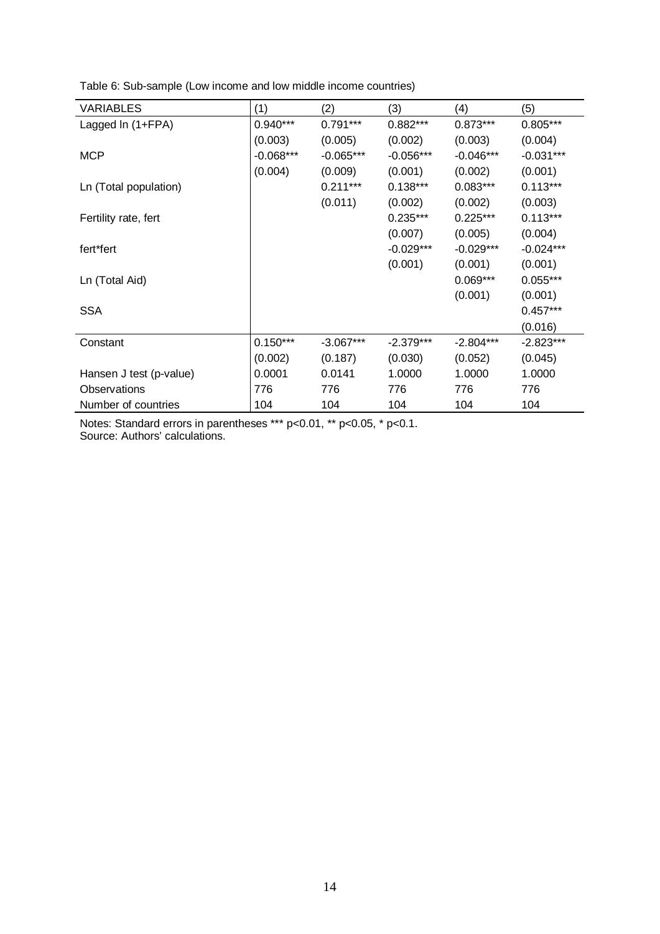| <b>VARIABLES</b>        | (1)         | (2)         | (3)         | (4)         | (5)         |
|-------------------------|-------------|-------------|-------------|-------------|-------------|
| Lagged In (1+FPA)       | $0.940***$  | $0.791***$  | $0.882***$  | $0.873***$  | $0.805***$  |
|                         | (0.003)     | (0.005)     | (0.002)     | (0.003)     | (0.004)     |
| <b>MCP</b>              | $-0.068***$ | $-0.065***$ | $-0.056***$ | $-0.046***$ | $-0.031***$ |
|                         | (0.004)     | (0.009)     | (0.001)     | (0.002)     | (0.001)     |
| Ln (Total population)   |             | $0.211***$  | $0.138***$  | $0.083***$  | $0.113***$  |
|                         |             | (0.011)     | (0.002)     | (0.002)     | (0.003)     |
| Fertility rate, fert    |             |             | $0.235***$  | $0.225***$  | $0.113***$  |
|                         |             |             | (0.007)     | (0.005)     | (0.004)     |
| fert*fert               |             |             | $-0.029***$ | $-0.029***$ | $-0.024***$ |
|                         |             |             | (0.001)     | (0.001)     | (0.001)     |
| Ln (Total Aid)          |             |             |             | $0.069***$  | $0.055***$  |
|                         |             |             |             | (0.001)     | (0.001)     |
| <b>SSA</b>              |             |             |             |             | $0.457***$  |
|                         |             |             |             |             | (0.016)     |
| Constant                | $0.150***$  | $-3.067***$ | $-2.379***$ | $-2.804***$ | $-2.823***$ |
|                         | (0.002)     | (0.187)     | (0.030)     | (0.052)     | (0.045)     |
| Hansen J test (p-value) | 0.0001      | 0.0141      | 1.0000      | 1.0000      | 1.0000      |
| Observations            | 776         | 776         | 776         | 776         | 776         |
| Number of countries     | 104         | 104         | 104         | 104         | 104         |

Table 6: Sub-sample (Low income and low middle income countries)

Notes: Standard errors in parentheses \*\*\* p<0.01, \*\* p<0.05, \* p<0.1. Source: Authors' calculations.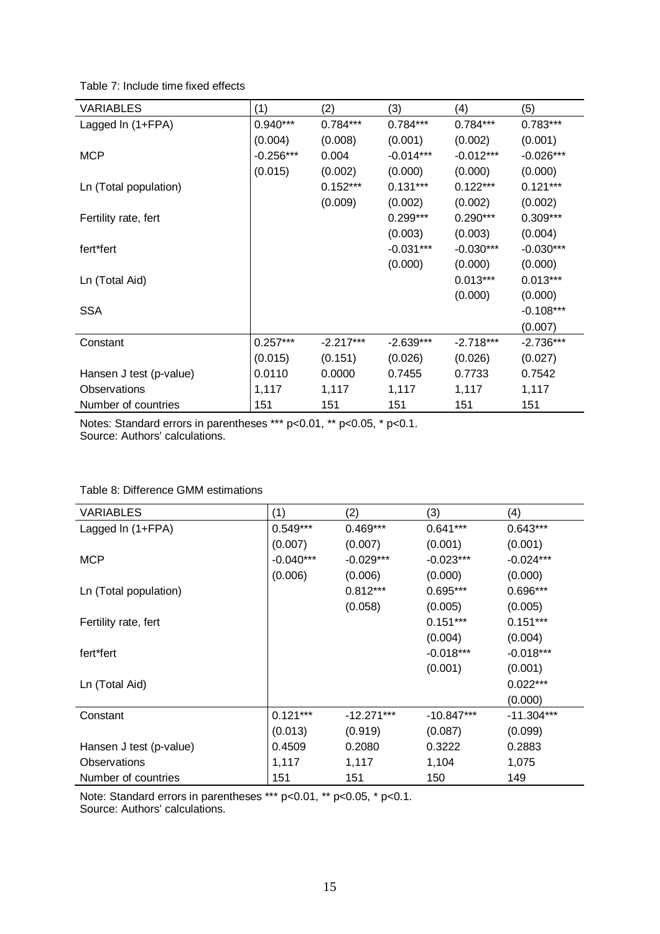|  | Table 7: Include time fixed effects |
|--|-------------------------------------|
|--|-------------------------------------|

| VARIABLES               | (1)         | (2)         | (3)         | (4)         | (5)         |
|-------------------------|-------------|-------------|-------------|-------------|-------------|
| Lagged In (1+FPA)       | $0.940***$  | $0.784***$  | $0.784***$  | $0.784***$  | $0.783***$  |
|                         | (0.004)     | (0.008)     | (0.001)     | (0.002)     | (0.001)     |
| <b>MCP</b>              | $-0.256***$ | 0.004       | $-0.014***$ | $-0.012***$ | $-0.026***$ |
|                         | (0.015)     | (0.002)     | (0.000)     | (0.000)     | (0.000)     |
| Ln (Total population)   |             | $0.152***$  | $0.131***$  | $0.122***$  | $0.121***$  |
|                         |             | (0.009)     | (0.002)     | (0.002)     | (0.002)     |
| Fertility rate, fert    |             |             | $0.299***$  | $0.290***$  | $0.309***$  |
|                         |             |             | (0.003)     | (0.003)     | (0.004)     |
| fert*fert               |             |             | $-0.031***$ | $-0.030***$ | $-0.030***$ |
|                         |             |             | (0.000)     | (0.000)     | (0.000)     |
| Ln (Total Aid)          |             |             |             | $0.013***$  | $0.013***$  |
|                         |             |             |             | (0.000)     | (0.000)     |
| <b>SSA</b>              |             |             |             |             | $-0.108***$ |
|                         |             |             |             |             | (0.007)     |
| Constant                | $0.257***$  | $-2.217***$ | $-2.639***$ | $-2.718***$ | $-2.736***$ |
|                         | (0.015)     | (0.151)     | (0.026)     | (0.026)     | (0.027)     |
| Hansen J test (p-value) | 0.0110      | 0.0000      | 0.7455      | 0.7733      | 0.7542      |
| Observations            | 1,117       | 1,117       | 1,117       | 1,117       | 1,117       |
| Number of countries     | 151         | 151         | 151         | 151         | 151         |

Notes: Standard errors in parentheses \*\*\* p<0.01, \*\* p<0.05, \* p<0.1. Source: Authors' calculations.

#### Table 8: Difference GMM estimations

| <b>VARIABLES</b>        | (1)         | (2)          | (3)          | (4)          |
|-------------------------|-------------|--------------|--------------|--------------|
| Lagged In (1+FPA)       | $0.549***$  | $0.469***$   | $0.641***$   | $0.643***$   |
|                         | (0.007)     | (0.007)      | (0.001)      | (0.001)      |
| <b>MCP</b>              | $-0.040***$ | $-0.029***$  | $-0.023***$  | $-0.024***$  |
|                         | (0.006)     | (0.006)      | (0.000)      | (0.000)      |
| Ln (Total population)   |             | $0.812***$   | $0.695***$   | 0.696***     |
|                         |             | (0.058)      | (0.005)      | (0.005)      |
| Fertility rate, fert    |             |              | $0.151***$   | $0.151***$   |
|                         |             |              | (0.004)      | (0.004)      |
| fert*fert               |             |              | $-0.018***$  | $-0.018***$  |
|                         |             |              | (0.001)      | (0.001)      |
| Ln (Total Aid)          |             |              |              | $0.022***$   |
|                         |             |              |              | (0.000)      |
| Constant                | $0.121***$  | $-12.271***$ | $-10.847***$ | $-11.304***$ |
|                         | (0.013)     | (0.919)      | (0.087)      | (0.099)      |
| Hansen J test (p-value) | 0.4509      | 0.2080       | 0.3222       | 0.2883       |
| Observations            | 1,117       | 1,117        | 1,104        | 1,075        |
| Number of countries     | 151         | 151          | 150          | 149          |

Note: Standard errors in parentheses \*\*\* p<0.01, \*\* p<0.05, \* p<0.1.